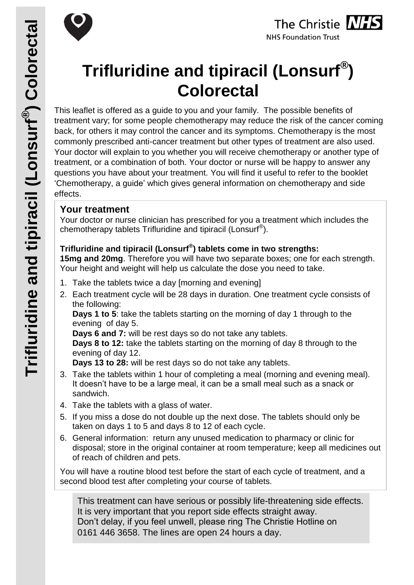



# **Trifluridine and tipiracil (Lonsurf® ) Colorectal**

This leaflet is offered as a guide to you and your family. The possible benefits of treatment vary; for some people chemotherapy may reduce the risk of the cancer coming back, for others it may control the cancer and its symptoms. Chemotherapy is the most commonly prescribed anti-cancer treatment but other types of treatment are also used. Your doctor will explain to you whether you will receive chemotherapy or another type of treatment, or a combination of both. Your doctor or nurse will be happy to answer any questions you have about your treatment. You will find it useful to refer to the booklet 'Chemotherapy, a guide' which gives general information on chemotherapy and side effects.

## **Your treatment**

Your doctor or nurse clinician has prescribed for you a treatment which includes the chemotherapy tablets Trifluridine and tipiracil (Lonsurf<sup>®</sup>).

## **Trifluridine and tipiracil (Lonsurf® ) tablets come in two strengths:**

**15mg and 20mg**. Therefore you will have two separate boxes; one for each strength. Your height and weight will help us calculate the dose you need to take.

- 1. Take the tablets twice a day [morning and evening]
- 2. Each treatment cycle will be 28 days in duration. One treatment cycle consists of the following:

**Days 1 to 5**: take the tablets starting on the morning of day 1 through to the evening of day 5.

**Days 6 and 7:** will be rest days so do not take any tablets.

**Days 8 to 12:** take the tablets starting on the morning of day 8 through to the evening of day 12.

**Days 13 to 28:** will be rest days so do not take any tablets.

- 3. Take the tablets within 1 hour of completing a meal (morning and evening meal). It doesn't have to be a large meal, it can be a small meal such as a snack or sandwich.
- 4. Take the tablets with a glass of water.
- 5. If you miss a dose do not double up the next dose. The tablets should only be taken on days 1 to 5 and days 8 to 12 of each cycle.
- 6. General information: return any unused medication to pharmacy or clinic for disposal; store in the original container at room temperature; keep all medicines out of reach of children and pets.

You will have a routine blood test before the start of each cycle of treatment, and a second blood test after completing your course of tablets.

This treatment can have serious or possibly life-threatening side effects. It is very important that you report side effects straight away. Don't delay, if you feel unwell, please ring The Christie Hotline on 0161 446 3658. The lines are open 24 hours a day.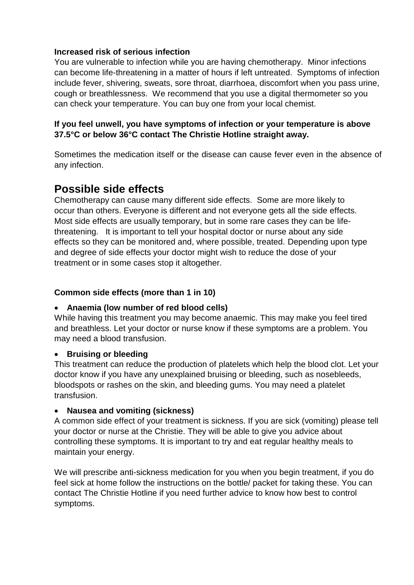#### **Increased risk of serious infection**

You are vulnerable to infection while you are having chemotherapy. Minor infections can become life-threatening in a matter of hours if left untreated. Symptoms of infection include fever, shivering, sweats, sore throat, diarrhoea, discomfort when you pass urine, cough or breathlessness. We recommend that you use a digital thermometer so you can check your temperature. You can buy one from your local chemist.

#### **If you feel unwell, you have symptoms of infection or your temperature is above 37.5°C or below 36°C contact The Christie Hotline straight away.**

Sometimes the medication itself or the disease can cause fever even in the absence of any infection.

# **Possible side effects**

Chemotherapy can cause many different side effects. Some are more likely to occur than others. Everyone is different and not everyone gets all the side effects. Most side effects are usually temporary, but in some rare cases they can be lifethreatening. It is important to tell your hospital doctor or nurse about any side effects so they can be monitored and, where possible, treated. Depending upon type and degree of side effects your doctor might wish to reduce the dose of your treatment or in some cases stop it altogether.

#### **Common side effects (more than 1 in 10)**

#### **Anaemia (low number of red blood cells)**

While having this treatment you may become anaemic. This may make you feel tired and breathless. Let your doctor or nurse know if these symptoms are a problem. You may need a blood transfusion.

#### **Bruising or bleeding**

This treatment can reduce the production of platelets which help the blood clot. Let your doctor know if you have any unexplained bruising or bleeding, such as nosebleeds, bloodspots or rashes on the skin, and bleeding gums. You may need a platelet transfusion.

#### **Nausea and vomiting (sickness)**

A common side effect of your treatment is sickness. If you are sick (vomiting) please tell your doctor or nurse at the Christie. They will be able to give you advice about controlling these symptoms. It is important to try and eat regular healthy meals to maintain your energy.

We will prescribe anti-sickness medication for you when you begin treatment, if you do feel sick at home follow the instructions on the bottle/ packet for taking these. You can contact The Christie Hotline if you need further advice to know how best to control symptoms.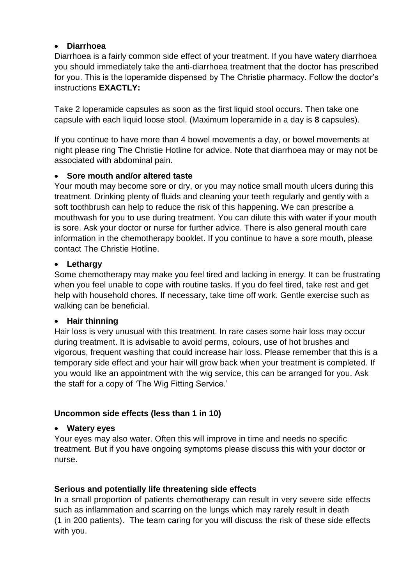#### **Diarrhoea**

Diarrhoea is a fairly common side effect of your treatment. If you have watery diarrhoea you should immediately take the anti-diarrhoea treatment that the doctor has prescribed for you. This is the loperamide dispensed by The Christie pharmacy. Follow the doctor's instructions **EXACTLY:** 

Take 2 loperamide capsules as soon as the first liquid stool occurs. Then take one capsule with each liquid loose stool. (Maximum loperamide in a day is **8** capsules).

If you continue to have more than 4 bowel movements a day, or bowel movements at night please ring The Christie Hotline for advice. Note that diarrhoea may or may not be associated with abdominal pain.

#### **Sore mouth and/or altered taste**

Your mouth may become sore or dry, or you may notice small mouth ulcers during this treatment. Drinking plenty of fluids and cleaning your teeth regularly and gently with a soft toothbrush can help to reduce the risk of this happening. We can prescribe a mouthwash for you to use during treatment. You can dilute this with water if your mouth is sore. Ask your doctor or nurse for further advice. There is also general mouth care information in the chemotherapy booklet. If you continue to have a sore mouth, please contact The Christie Hotline.

#### **Lethargy**

Some chemotherapy may make you feel tired and lacking in energy. It can be frustrating when you feel unable to cope with routine tasks. If you do feel tired, take rest and get help with household chores. If necessary, take time off work. Gentle exercise such as walking can be beneficial.

#### **Hair thinning**

Hair loss is very unusual with this treatment. In rare cases some hair loss may occur during treatment. It is advisable to avoid perms, colours, use of hot brushes and vigorous, frequent washing that could increase hair loss. Please remember that this is a temporary side effect and your hair will grow back when your treatment is completed. If you would like an appointment with the wig service, this can be arranged for you. Ask the staff for a copy of *'*The Wig Fitting Service.'

#### **Uncommon side effects (less than 1 in 10)**

#### **Watery eyes**

Your eyes may also water. Often this will improve in time and needs no specific treatment. But if you have ongoing symptoms please discuss this with your doctor or nurse.

#### **Serious and potentially life threatening side effects**

In a small proportion of patients chemotherapy can result in very severe side effects such as inflammation and scarring on the lungs which may rarely result in death (1 in 200 patients). The team caring for you will discuss the risk of these side effects with you.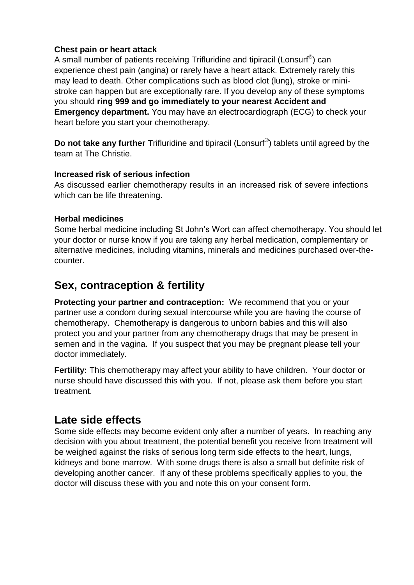#### **Chest pain or heart attack**

A small number of patients receiving Trifluridine and tipiracil (Lonsurf $^{\circledR}$ ) can experience chest pain (angina) or rarely have a heart attack. Extremely rarely this may lead to death. Other complications such as blood clot (lung), stroke or ministroke can happen but are exceptionally rare. If you develop any of these symptoms you should **ring 999 and go immediately to your nearest Accident and Emergency department.** You may have an electrocardiograph (ECG) to check your heart before you start your chemotherapy.

**Do not take any further** Trifluridine and tipiracil (Lonsurf® ) tablets until agreed by the team at The Christie.

#### **Increased risk of serious infection**

As discussed earlier chemotherapy results in an increased risk of severe infections which can be life threatening.

#### **Herbal medicines**

Some herbal medicine including St John's Wort can affect chemotherapy. You should let your doctor or nurse know if you are taking any herbal medication, complementary or alternative medicines, including vitamins, minerals and medicines purchased over-thecounter.

# **Sex, contraception & fertility**

**Protecting your partner and contraception:** We recommend that you or your partner use a condom during sexual intercourse while you are having the course of chemotherapy. Chemotherapy is dangerous to unborn babies and this will also protect you and your partner from any chemotherapy drugs that may be present in semen and in the vagina. If you suspect that you may be pregnant please tell your doctor immediately.

**Fertility:** This chemotherapy may affect your ability to have children. Your doctor or nurse should have discussed this with you. If not, please ask them before you start treatment.

# **Late side effects**

Some side effects may become evident only after a number of years. In reaching any decision with you about treatment, the potential benefit you receive from treatment will be weighed against the risks of serious long term side effects to the heart, lungs, kidneys and bone marrow. With some drugs there is also a small but definite risk of developing another cancer. If any of these problems specifically applies to you, the doctor will discuss these with you and note this on your consent form.